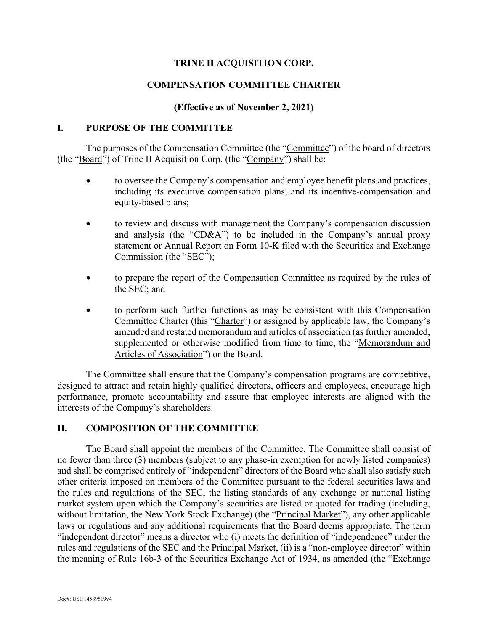# **TRINE II ACQUISITION CORP.**

## **COMPENSATION COMMITTEE CHARTER**

### **(Effective as of November 2, 2021)**

### **I. PURPOSE OF THE COMMITTEE**

The purposes of the Compensation Committee (the "Committee") of the board of directors (the "Board") of Trine II Acquisition Corp. (the "Company") shall be:

- to oversee the Company's compensation and employee benefit plans and practices, including its executive compensation plans, and its incentive-compensation and equity-based plans;
- to review and discuss with management the Company's compensation discussion and analysis (the "CD&A") to be included in the Company's annual proxy statement or Annual Report on Form 10-K filed with the Securities and Exchange Commission (the "SEC");
- to prepare the report of the Compensation Committee as required by the rules of the SEC; and
- to perform such further functions as may be consistent with this Compensation Committee Charter (this "Charter") or assigned by applicable law, the Company's amended and restated memorandum and articles of association (as further amended, supplemented or otherwise modified from time to time, the "Memorandum and Articles of Association") or the Board.

The Committee shall ensure that the Company's compensation programs are competitive, designed to attract and retain highly qualified directors, officers and employees, encourage high performance, promote accountability and assure that employee interests are aligned with the interests of the Company's shareholders.

### **II. COMPOSITION OF THE COMMITTEE**

The Board shall appoint the members of the Committee. The Committee shall consist of no fewer than three (3) members (subject to any phase-in exemption for newly listed companies) and shall be comprised entirely of "independent" directors of the Board who shall also satisfy such other criteria imposed on members of the Committee pursuant to the federal securities laws and the rules and regulations of the SEC, the listing standards of any exchange or national listing market system upon which the Company's securities are listed or quoted for trading (including, without limitation, the New York Stock Exchange) (the "Principal Market"), any other applicable laws or regulations and any additional requirements that the Board deems appropriate. The term "independent director" means a director who (i) meets the definition of "independence" under the rules and regulations of the SEC and the Principal Market, (ii) is a "non-employee director" within the meaning of Rule 16b-3 of the Securities Exchange Act of 1934, as amended (the "Exchange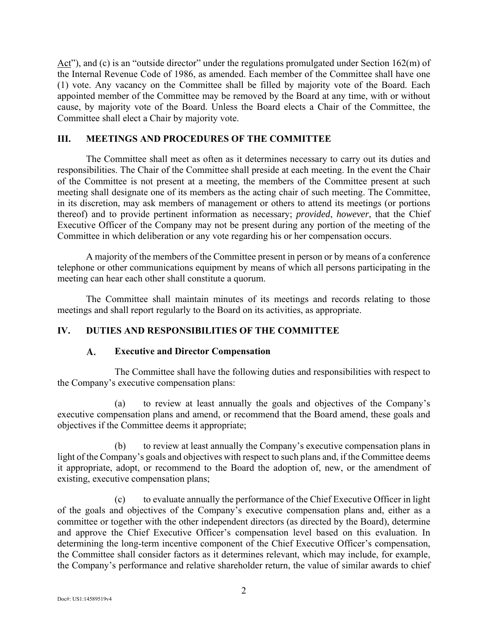Act"), and (c) is an "outside director" under the regulations promulgated under Section  $162(m)$  of the Internal Revenue Code of 1986, as amended. Each member of the Committee shall have one (1) vote. Any vacancy on the Committee shall be filled by majority vote of the Board. Each appointed member of the Committee may be removed by the Board at any time, with or without cause, by majority vote of the Board. Unless the Board elects a Chair of the Committee, the Committee shall elect a Chair by majority vote.

# **III. MEETINGS AND PROCEDURES OF THE COMMITTEE**

The Committee shall meet as often as it determines necessary to carry out its duties and responsibilities. The Chair of the Committee shall preside at each meeting. In the event the Chair of the Committee is not present at a meeting, the members of the Committee present at such meeting shall designate one of its members as the acting chair of such meeting. The Committee, in its discretion, may ask members of management or others to attend its meetings (or portions thereof) and to provide pertinent information as necessary; *provided*, *however*, that the Chief Executive Officer of the Company may not be present during any portion of the meeting of the Committee in which deliberation or any vote regarding his or her compensation occurs.

A majority of the members of the Committee present in person or by means of a conference telephone or other communications equipment by means of which all persons participating in the meeting can hear each other shall constitute a quorum.

The Committee shall maintain minutes of its meetings and records relating to those meetings and shall report regularly to the Board on its activities, as appropriate.

# **IV. DUTIES AND RESPONSIBILITIES OF THE COMMITTEE**

#### **Executive and Director Compensation**   $\mathbf{A}$ .

The Committee shall have the following duties and responsibilities with respect to the Company's executive compensation plans:

(a) to review at least annually the goals and objectives of the Company's executive compensation plans and amend, or recommend that the Board amend, these goals and objectives if the Committee deems it appropriate;

(b) to review at least annually the Company's executive compensation plans in light of the Company's goals and objectives with respect to such plans and, if the Committee deems it appropriate, adopt, or recommend to the Board the adoption of, new, or the amendment of existing, executive compensation plans;

(c) to evaluate annually the performance of the Chief Executive Officer in light of the goals and objectives of the Company's executive compensation plans and, either as a committee or together with the other independent directors (as directed by the Board), determine and approve the Chief Executive Officer's compensation level based on this evaluation. In determining the long-term incentive component of the Chief Executive Officer's compensation, the Committee shall consider factors as it determines relevant, which may include, for example, the Company's performance and relative shareholder return, the value of similar awards to chief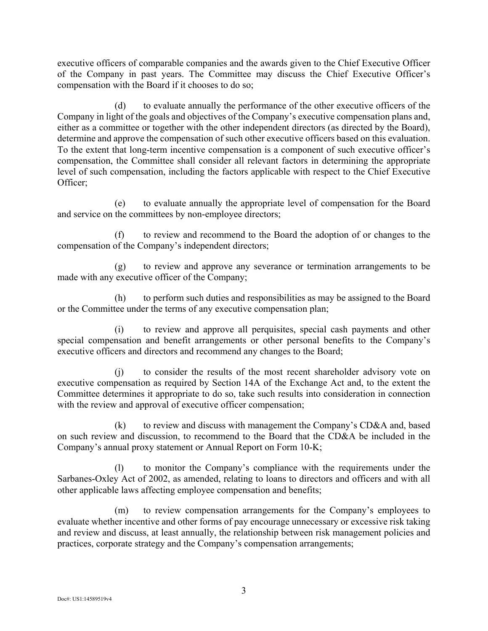executive officers of comparable companies and the awards given to the Chief Executive Officer of the Company in past years. The Committee may discuss the Chief Executive Officer's compensation with the Board if it chooses to do so;

(d) to evaluate annually the performance of the other executive officers of the Company in light of the goals and objectives of the Company's executive compensation plans and, either as a committee or together with the other independent directors (as directed by the Board), determine and approve the compensation of such other executive officers based on this evaluation. To the extent that long-term incentive compensation is a component of such executive officer's compensation, the Committee shall consider all relevant factors in determining the appropriate level of such compensation, including the factors applicable with respect to the Chief Executive Officer;

(e) to evaluate annually the appropriate level of compensation for the Board and service on the committees by non-employee directors;

(f) to review and recommend to the Board the adoption of or changes to the compensation of the Company's independent directors;

(g) to review and approve any severance or termination arrangements to be made with any executive officer of the Company;

(h) to perform such duties and responsibilities as may be assigned to the Board or the Committee under the terms of any executive compensation plan;

(i) to review and approve all perquisites, special cash payments and other special compensation and benefit arrangements or other personal benefits to the Company's executive officers and directors and recommend any changes to the Board;

(j) to consider the results of the most recent shareholder advisory vote on executive compensation as required by Section 14A of the Exchange Act and, to the extent the Committee determines it appropriate to do so, take such results into consideration in connection with the review and approval of executive officer compensation;

 $(k)$  to review and discuss with management the Company's CD&A and, based on such review and discussion, to recommend to the Board that the CD&A be included in the Company's annual proxy statement or Annual Report on Form 10-K;

(l) to monitor the Company's compliance with the requirements under the Sarbanes-Oxley Act of 2002, as amended, relating to loans to directors and officers and with all other applicable laws affecting employee compensation and benefits;

(m) to review compensation arrangements for the Company's employees to evaluate whether incentive and other forms of pay encourage unnecessary or excessive risk taking and review and discuss, at least annually, the relationship between risk management policies and practices, corporate strategy and the Company's compensation arrangements;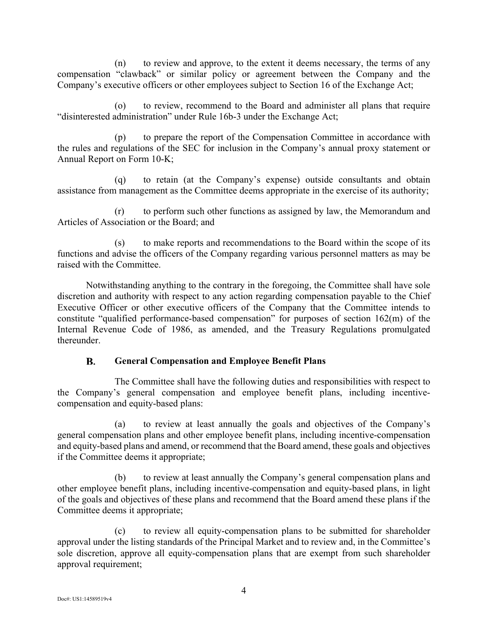(n) to review and approve, to the extent it deems necessary, the terms of any compensation "clawback" or similar policy or agreement between the Company and the Company's executive officers or other employees subject to Section 16 of the Exchange Act;

(o) to review, recommend to the Board and administer all plans that require "disinterested administration" under Rule 16b-3 under the Exchange Act;

(p) to prepare the report of the Compensation Committee in accordance with the rules and regulations of the SEC for inclusion in the Company's annual proxy statement or Annual Report on Form 10-K;

(q) to retain (at the Company's expense) outside consultants and obtain assistance from management as the Committee deems appropriate in the exercise of its authority;

(r) to perform such other functions as assigned by law, the Memorandum and Articles of Association or the Board; and

(s) to make reports and recommendations to the Board within the scope of its functions and advise the officers of the Company regarding various personnel matters as may be raised with the Committee.

Notwithstanding anything to the contrary in the foregoing, the Committee shall have sole discretion and authority with respect to any action regarding compensation payable to the Chief Executive Officer or other executive officers of the Company that the Committee intends to constitute "qualified performance-based compensation" for purposes of section 162(m) of the Internal Revenue Code of 1986, as amended, and the Treasury Regulations promulgated thereunder.

#### B. **General Compensation and Employee Benefit Plans**

The Committee shall have the following duties and responsibilities with respect to the Company's general compensation and employee benefit plans, including incentivecompensation and equity-based plans:

(a) to review at least annually the goals and objectives of the Company's general compensation plans and other employee benefit plans, including incentive-compensation and equity-based plans and amend, or recommend that the Board amend, these goals and objectives if the Committee deems it appropriate;

(b) to review at least annually the Company's general compensation plans and other employee benefit plans, including incentive-compensation and equity-based plans, in light of the goals and objectives of these plans and recommend that the Board amend these plans if the Committee deems it appropriate;

(c) to review all equity-compensation plans to be submitted for shareholder approval under the listing standards of the Principal Market and to review and, in the Committee's sole discretion, approve all equity-compensation plans that are exempt from such shareholder approval requirement;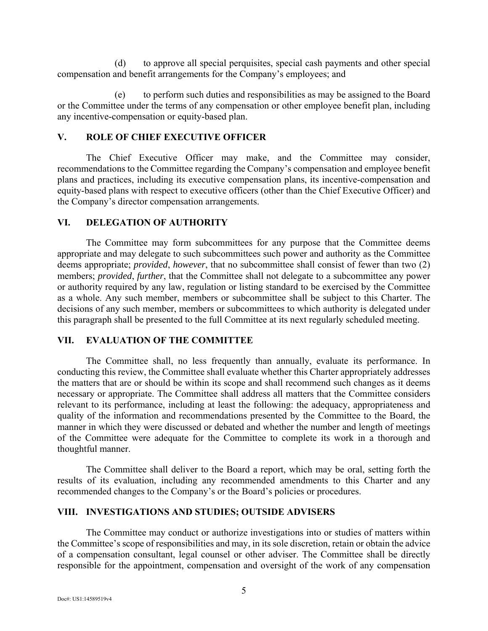(d) to approve all special perquisites, special cash payments and other special compensation and benefit arrangements for the Company's employees; and

(e) to perform such duties and responsibilities as may be assigned to the Board or the Committee under the terms of any compensation or other employee benefit plan, including any incentive-compensation or equity-based plan.

# **V. ROLE OF CHIEF EXECUTIVE OFFICER**

The Chief Executive Officer may make, and the Committee may consider, recommendations to the Committee regarding the Company's compensation and employee benefit plans and practices, including its executive compensation plans, its incentive-compensation and equity-based plans with respect to executive officers (other than the Chief Executive Officer) and the Company's director compensation arrangements.

## **VI. DELEGATION OF AUTHORITY**

The Committee may form subcommittees for any purpose that the Committee deems appropriate and may delegate to such subcommittees such power and authority as the Committee deems appropriate; *provided*, *however*, that no subcommittee shall consist of fewer than two (2) members; *provided*, *further*, that the Committee shall not delegate to a subcommittee any power or authority required by any law, regulation or listing standard to be exercised by the Committee as a whole. Any such member, members or subcommittee shall be subject to this Charter. The decisions of any such member, members or subcommittees to which authority is delegated under this paragraph shall be presented to the full Committee at its next regularly scheduled meeting.

### **VII. EVALUATION OF THE COMMITTEE**

The Committee shall, no less frequently than annually, evaluate its performance. In conducting this review, the Committee shall evaluate whether this Charter appropriately addresses the matters that are or should be within its scope and shall recommend such changes as it deems necessary or appropriate. The Committee shall address all matters that the Committee considers relevant to its performance, including at least the following: the adequacy, appropriateness and quality of the information and recommendations presented by the Committee to the Board, the manner in which they were discussed or debated and whether the number and length of meetings of the Committee were adequate for the Committee to complete its work in a thorough and thoughtful manner.

The Committee shall deliver to the Board a report, which may be oral, setting forth the results of its evaluation, including any recommended amendments to this Charter and any recommended changes to the Company's or the Board's policies or procedures.

### **VIII. INVESTIGATIONS AND STUDIES; OUTSIDE ADVISERS**

The Committee may conduct or authorize investigations into or studies of matters within the Committee's scope of responsibilities and may, in its sole discretion, retain or obtain the advice of a compensation consultant, legal counsel or other adviser. The Committee shall be directly responsible for the appointment, compensation and oversight of the work of any compensation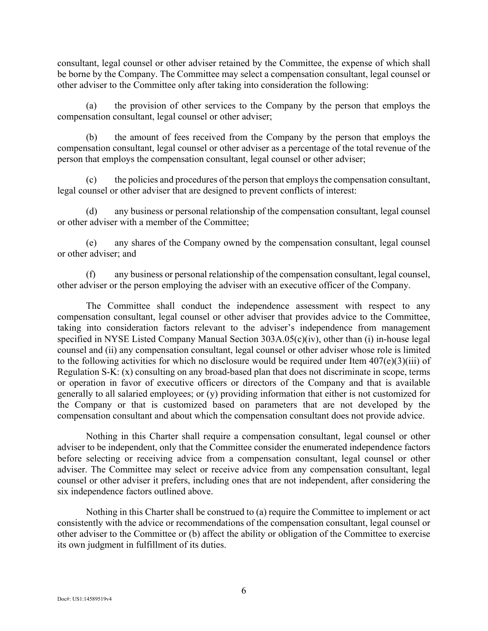consultant, legal counsel or other adviser retained by the Committee, the expense of which shall be borne by the Company. The Committee may select a compensation consultant, legal counsel or other adviser to the Committee only after taking into consideration the following:

(a) the provision of other services to the Company by the person that employs the compensation consultant, legal counsel or other adviser;

(b) the amount of fees received from the Company by the person that employs the compensation consultant, legal counsel or other adviser as a percentage of the total revenue of the person that employs the compensation consultant, legal counsel or other adviser;

(c) the policies and procedures of the person that employs the compensation consultant, legal counsel or other adviser that are designed to prevent conflicts of interest:

(d) any business or personal relationship of the compensation consultant, legal counsel or other adviser with a member of the Committee;

(e) any shares of the Company owned by the compensation consultant, legal counsel or other adviser; and

(f) any business or personal relationship of the compensation consultant, legal counsel, other adviser or the person employing the adviser with an executive officer of the Company.

The Committee shall conduct the independence assessment with respect to any compensation consultant, legal counsel or other adviser that provides advice to the Committee, taking into consideration factors relevant to the adviser's independence from management specified in NYSE Listed Company Manual Section 303A.05(c)(iv), other than (i) in-house legal counsel and (ii) any compensation consultant, legal counsel or other adviser whose role is limited to the following activities for which no disclosure would be required under Item 407(e)(3)(iii) of Regulation S-K: (x) consulting on any broad-based plan that does not discriminate in scope, terms or operation in favor of executive officers or directors of the Company and that is available generally to all salaried employees; or (y) providing information that either is not customized for the Company or that is customized based on parameters that are not developed by the compensation consultant and about which the compensation consultant does not provide advice.

Nothing in this Charter shall require a compensation consultant, legal counsel or other adviser to be independent, only that the Committee consider the enumerated independence factors before selecting or receiving advice from a compensation consultant, legal counsel or other adviser. The Committee may select or receive advice from any compensation consultant, legal counsel or other adviser it prefers, including ones that are not independent, after considering the six independence factors outlined above.

Nothing in this Charter shall be construed to (a) require the Committee to implement or act consistently with the advice or recommendations of the compensation consultant, legal counsel or other adviser to the Committee or (b) affect the ability or obligation of the Committee to exercise its own judgment in fulfillment of its duties.